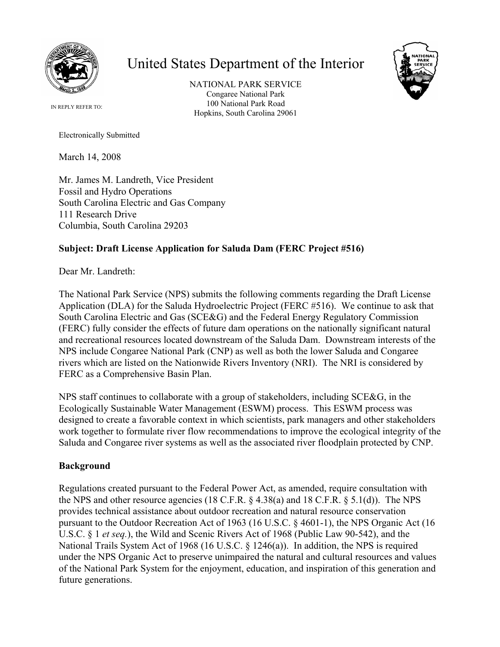

## United States Department of the Interior

NATIONAL PARK SERVICE Congaree National Park 100 National Park Road Hopkins, South Carolina 29061



IN REPLY REFER TO:

Electronically Submitted

March 14, 2008

Mr. James M. Landreth, Vice President Fossil and Hydro Operations South Carolina Electric and Gas Company 111 Research Drive Columbia, South Carolina 29203

## **Subject: Draft License Application for Saluda Dam (FERC Project #516)**

Dear Mr. Landreth:

The National Park Service (NPS) submits the following comments regarding the Draft License Application (DLA) for the Saluda Hydroelectric Project (FERC #516). We continue to ask that South Carolina Electric and Gas (SCE&G) and the Federal Energy Regulatory Commission (FERC) fully consider the effects of future dam operations on the nationally significant natural and recreational resources located downstream of the Saluda Dam. Downstream interests of the NPS include Congaree National Park (CNP) as well as both the lower Saluda and Congaree rivers which are listed on the Nationwide Rivers Inventory (NRI). The NRI is considered by FERC as a Comprehensive Basin Plan.

NPS staff continues to collaborate with a group of stakeholders, including SCE&G, in the Ecologically Sustainable Water Management (ESWM) process. This ESWM process was designed to create a favorable context in which scientists, park managers and other stakeholders work together to formulate river flow recommendations to improve the ecological integrity of the Saluda and Congaree river systems as well as the associated river floodplain protected by CNP.

## **Background**

Regulations created pursuant to the Federal Power Act, as amended, require consultation with the NPS and other resource agencies (18 C.F.R.  $\S$  4.38(a) and 18 C.F.R.  $\S$  5.1(d)). The NPS provides technical assistance about outdoor recreation and natural resource conservation pursuant to the Outdoor Recreation Act of 1963 (16 U.S.C. § 4601-1), the NPS Organic Act (16 U.S.C. § 1 *et seq.*), the Wild and Scenic Rivers Act of 1968 (Public Law 90-542), and the National Trails System Act of 1968 (16 U.S.C. § 1246(a)). In addition, the NPS is required under the NPS Organic Act to preserve unimpaired the natural and cultural resources and values of the National Park System for the enjoyment, education, and inspiration of this generation and future generations.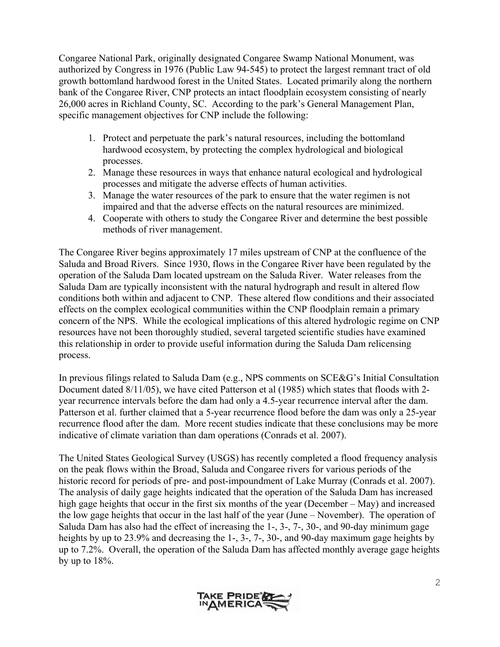Congaree National Park, originally designated Congaree Swamp National Monument, was authorized by Congress in 1976 (Public Law 94-545) to protect the largest remnant tract of old growth bottomland hardwood forest in the United States. Located primarily along the northern bank of the Congaree River, CNP protects an intact floodplain ecosystem consisting of nearly 26,000 acres in Richland County, SC. According to the park's General Management Plan, specific management objectives for CNP include the following:

- 1. Protect and perpetuate the park's natural resources, including the bottomland hardwood ecosystem, by protecting the complex hydrological and biological processes.
- 2. Manage these resources in ways that enhance natural ecological and hydrological processes and mitigate the adverse effects of human activities.
- 3. Manage the water resources of the park to ensure that the water regimen is not impaired and that the adverse effects on the natural resources are minimized.
- 4. Cooperate with others to study the Congaree River and determine the best possible methods of river management.

The Congaree River begins approximately 17 miles upstream of CNP at the confluence of the Saluda and Broad Rivers. Since 1930, flows in the Congaree River have been regulated by the operation of the Saluda Dam located upstream on the Saluda River. Water releases from the Saluda Dam are typically inconsistent with the natural hydrograph and result in altered flow conditions both within and adjacent to CNP. These altered flow conditions and their associated effects on the complex ecological communities within the CNP floodplain remain a primary concern of the NPS. While the ecological implications of this altered hydrologic regime on CNP resources have not been thoroughly studied, several targeted scientific studies have examined this relationship in order to provide useful information during the Saluda Dam relicensing process.

In previous filings related to Saluda Dam (e.g., NPS comments on SCE&G's Initial Consultation Document dated 8/11/05), we have cited Patterson et al (1985) which states that floods with 2 year recurrence intervals before the dam had only a 4.5-year recurrence interval after the dam. Patterson et al. further claimed that a 5-year recurrence flood before the dam was only a 25-year recurrence flood after the dam. More recent studies indicate that these conclusions may be more indicative of climate variation than dam operations (Conrads et al. 2007).

The United States Geological Survey (USGS) has recently completed a flood frequency analysis on the peak flows within the Broad, Saluda and Congaree rivers for various periods of the historic record for periods of pre- and post-impoundment of Lake Murray (Conrads et al. 2007). The analysis of daily gage heights indicated that the operation of the Saluda Dam has increased high gage heights that occur in the first six months of the year (December – May) and increased the low gage heights that occur in the last half of the year (June – November). The operation of Saluda Dam has also had the effect of increasing the 1-, 3-, 7-, 30-, and 90-day minimum gage heights by up to 23.9% and decreasing the 1-, 3-, 7-, 30-, and 90-day maximum gage heights by up to 7.2%. Overall, the operation of the Saluda Dam has affected monthly average gage heights by up to 18%.

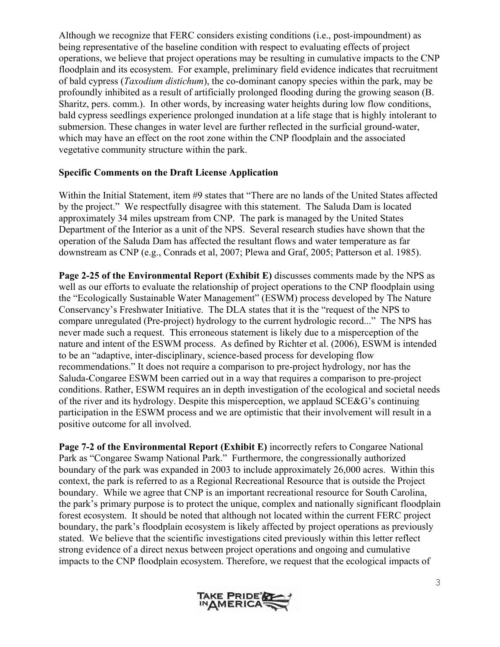Although we recognize that FERC considers existing conditions (i.e., post-impoundment) as being representative of the baseline condition with respect to evaluating effects of project operations, we believe that project operations may be resulting in cumulative impacts to the CNP floodplain and its ecosystem. For example, preliminary field evidence indicates that recruitment of bald cypress (*Taxodium distichum*), the co-dominant canopy species within the park, may be profoundly inhibited as a result of artificially prolonged flooding during the growing season (B. Sharitz, pers. comm.). In other words, by increasing water heights during low flow conditions, bald cypress seedlings experience prolonged inundation at a life stage that is highly intolerant to submersion. These changes in water level are further reflected in the surficial ground-water, which may have an effect on the root zone within the CNP floodplain and the associated vegetative community structure within the park.

## **Specific Comments on the Draft License Application**

Within the Initial Statement, item #9 states that "There are no lands of the United States affected by the project." We respectfully disagree with this statement. The Saluda Dam is located approximately 34 miles upstream from CNP. The park is managed by the United States Department of the Interior as a unit of the NPS. Several research studies have shown that the operation of the Saluda Dam has affected the resultant flows and water temperature as far downstream as CNP (e.g., Conrads et al, 2007; Plewa and Graf, 2005; Patterson et al. 1985).

**Page 2-25 of the Environmental Report (Exhibit E)** discusses comments made by the NPS as well as our efforts to evaluate the relationship of project operations to the CNP floodplain using the "Ecologically Sustainable Water Management" (ESWM) process developed by The Nature Conservancy's Freshwater Initiative. The DLA states that it is the "request of the NPS to compare unregulated (Pre-project) hydrology to the current hydrologic record..." The NPS has never made such a request. This erroneous statement is likely due to a misperception of the nature and intent of the ESWM process. As defined by Richter et al. (2006), ESWM is intended to be an "adaptive, inter-disciplinary, science-based process for developing flow recommendations." It does not require a comparison to pre-project hydrology, nor has the Saluda-Congaree ESWM been carried out in a way that requires a comparison to pre-project conditions. Rather, ESWM requires an in depth investigation of the ecological and societal needs of the river and its hydrology. Despite this misperception, we applaud SCE&G's continuing participation in the ESWM process and we are optimistic that their involvement will result in a positive outcome for all involved.

**Page 7-2 of the Environmental Report (Exhibit E)** incorrectly refers to Congaree National Park as "Congaree Swamp National Park." Furthermore, the congressionally authorized boundary of the park was expanded in 2003 to include approximately 26,000 acres. Within this context, the park is referred to as a Regional Recreational Resource that is outside the Project boundary. While we agree that CNP is an important recreational resource for South Carolina, the park's primary purpose is to protect the unique, complex and nationally significant floodplain forest ecosystem. It should be noted that although not located within the current FERC project boundary, the park's floodplain ecosystem is likely affected by project operations as previously stated. We believe that the scientific investigations cited previously within this letter reflect strong evidence of a direct nexus between project operations and ongoing and cumulative impacts to the CNP floodplain ecosystem. Therefore, we request that the ecological impacts of

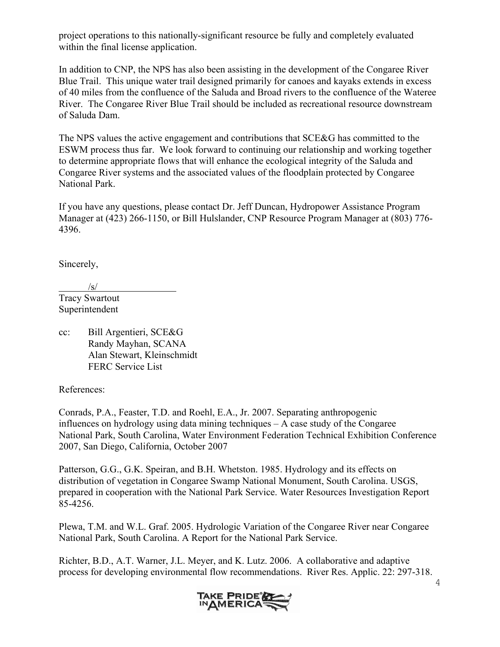project operations to this nationally-significant resource be fully and completely evaluated within the final license application.

In addition to CNP, the NPS has also been assisting in the development of the Congaree River Blue Trail. This unique water trail designed primarily for canoes and kayaks extends in excess of 40 miles from the confluence of the Saluda and Broad rivers to the confluence of the Wateree River. The Congaree River Blue Trail should be included as recreational resource downstream of Saluda Dam.

The NPS values the active engagement and contributions that SCE&G has committed to the ESWM process thus far. We look forward to continuing our relationship and working together to determine appropriate flows that will enhance the ecological integrity of the Saluda and Congaree River systems and the associated values of the floodplain protected by Congaree National Park.

If you have any questions, please contact Dr. Jeff Duncan, Hydropower Assistance Program Manager at (423) 266-1150, or Bill Hulslander, CNP Resource Program Manager at (803) 776- 4396.

Sincerely,

 $\sqrt{s}$ / Tracy Swartout

Superintendent

cc: Bill Argentieri, SCE&G Randy Mayhan, SCANA Alan Stewart, Kleinschmidt FERC Service List

References:

Conrads, P.A., Feaster, T.D. and Roehl, E.A., Jr. 2007. Separating anthropogenic influences on hydrology using data mining techniques – A case study of the Congaree National Park, South Carolina, Water Environment Federation Technical Exhibition Conference 2007, San Diego, California, October 2007

Patterson, G.G., G.K. Speiran, and B.H. Whetston. 1985. Hydrology and its effects on distribution of vegetation in Congaree Swamp National Monument, South Carolina. USGS, prepared in cooperation with the National Park Service. Water Resources Investigation Report 85-4256.

Plewa, T.M. and W.L. Graf. 2005. Hydrologic Variation of the Congaree River near Congaree National Park, South Carolina. A Report for the National Park Service.

Richter, B.D., A.T. Warner, J.L. Meyer, and K. Lutz. 2006. A collaborative and adaptive process for developing environmental flow recommendations. River Res. Applic. 22: 297-318.